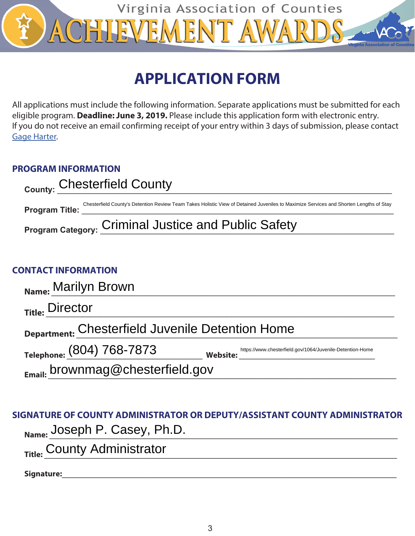

# **APPLICATION FORM**

All applications must include the following information. Separate applications must be submitted for each eligible program. **Deadline: June 3, 2019.** Please include this application form with electronic entry. If you do not receive an email confirming receipt of your entry within 3 days of submission, please contact **[Gage Harter.](mailto:gharter%40vaco.org?subject=)** 

## **PROGRAM INFORMATION**

| County: Chesterfield County |                                                                                                                                        |  |
|-----------------------------|----------------------------------------------------------------------------------------------------------------------------------------|--|
| <b>Program Title:</b>       | Chesterfield County's Detention Review Team Takes Holistic View of Detained Juveniles to Maximize Services and Shorten Lengths of Stay |  |
|                             | Program Category: Criminal Justice and Public Safety                                                                                   |  |

## **CONTACT INFORMATION**

| Name: Marilyn Brown                              |                                                                              |  |  |
|--------------------------------------------------|------------------------------------------------------------------------------|--|--|
| <sub>Title:</sub> Director                       |                                                                              |  |  |
| Department: Chesterfield Juvenile Detention Home |                                                                              |  |  |
| Telephone: (804) 768-7873                        | https://www.chesterfield.gov/1064/Juvenile-Detention-Home<br><b>Website:</b> |  |  |
| Email: brownmag@chesterfield.gov                 |                                                                              |  |  |
|                                                  |                                                                              |  |  |

## **SIGNATURE OF COUNTY ADMINISTRATOR OR DEPUTY/ASSISTANT COUNTY ADMINISTRATOR**

Name: Joseph P. Casey, Ph.D. **Name:**  $\frac{1}{2}$ 

Title: County Administrator<br>Title: County Administrator

Signature: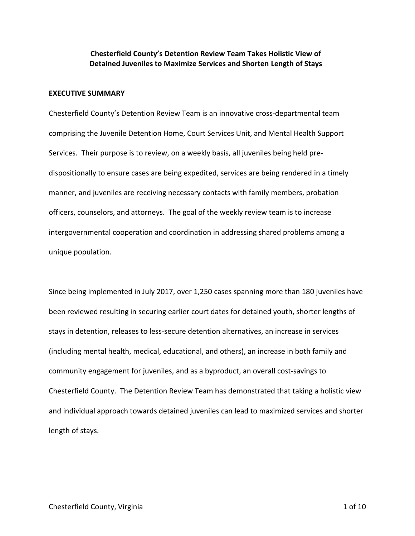## **Chesterfield County's Detention Review Team Takes Holistic View of Detained Juveniles to Maximize Services and Shorten Length of Stays**

#### **EXECUTIVE SUMMARY**

Chesterfield County's Detention Review Team is an innovative cross-departmental team comprising the Juvenile Detention Home, Court Services Unit, and Mental Health Support Services. Their purpose is to review, on a weekly basis, all juveniles being held predispositionally to ensure cases are being expedited, services are being rendered in a timely manner, and juveniles are receiving necessary contacts with family members, probation officers, counselors, and attorneys. The goal of the weekly review team is to increase intergovernmental cooperation and coordination in addressing shared problems among a unique population.

Since being implemented in July 2017, over 1,250 cases spanning more than 180 juveniles have been reviewed resulting in securing earlier court dates for detained youth, shorter lengths of stays in detention, releases to less-secure detention alternatives, an increase in services (including mental health, medical, educational, and others), an increase in both family and community engagement for juveniles, and as a byproduct, an overall cost-savings to Chesterfield County. The Detention Review Team has demonstrated that taking a holistic view and individual approach towards detained juveniles can lead to maximized services and shorter length of stays.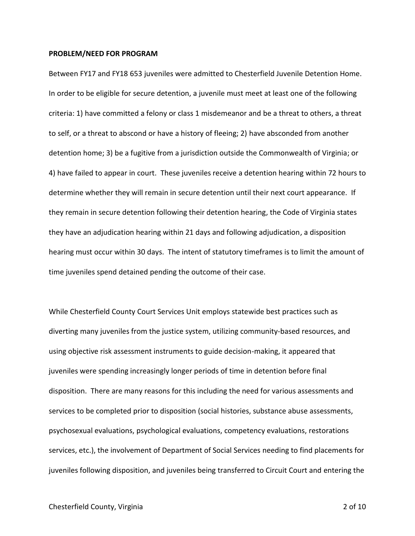#### **PROBLEM/NEED FOR PROGRAM**

Between FY17 and FY18 653 juveniles were admitted to Chesterfield Juvenile Detention Home. In order to be eligible for secure detention, a juvenile must meet at least one of the following criteria: 1) have committed a felony or class 1 misdemeanor and be a threat to others, a threat to self, or a threat to abscond or have a history of fleeing; 2) have absconded from another detention home; 3) be a fugitive from a jurisdiction outside the Commonwealth of Virginia; or 4) have failed to appear in court. These juveniles receive a detention hearing within 72 hours to determine whether they will remain in secure detention until their next court appearance. If they remain in secure detention following their detention hearing, the Code of Virginia states they have an adjudication hearing within 21 days and following adjudication, a disposition hearing must occur within 30 days. The intent of statutory timeframes is to limit the amount of time juveniles spend detained pending the outcome of their case.

While Chesterfield County Court Services Unit employs statewide best practices such as diverting many juveniles from the justice system, utilizing community-based resources, and using objective risk assessment instruments to guide decision-making, it appeared that juveniles were spending increasingly longer periods of time in detention before final disposition. There are many reasons for this including the need for various assessments and services to be completed prior to disposition (social histories, substance abuse assessments, psychosexual evaluations, psychological evaluations, competency evaluations, restorations services, etc.), the involvement of Department of Social Services needing to find placements for juveniles following disposition, and juveniles being transferred to Circuit Court and entering the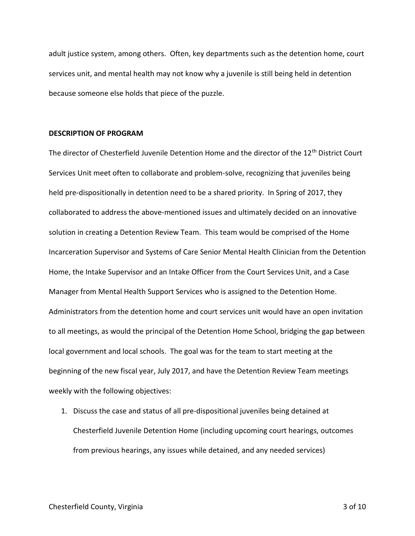adult justice system, among others. Often, key departments such as the detention home, court services unit, and mental health may not know why a juvenile is still being held in detention because someone else holds that piece of the puzzle.

### **DESCRIPTION OF PROGRAM**

The director of Chesterfield Juvenile Detention Home and the director of the 12<sup>th</sup> District Court Services Unit meet often to collaborate and problem-solve, recognizing that juveniles being held pre-dispositionally in detention need to be a shared priority. In Spring of 2017, they collaborated to address the above-mentioned issues and ultimately decided on an innovative solution in creating a Detention Review Team. This team would be comprised of the Home Incarceration Supervisor and Systems of Care Senior Mental Health Clinician from the Detention Home, the Intake Supervisor and an Intake Officer from the Court Services Unit, and a Case Manager from Mental Health Support Services who is assigned to the Detention Home. Administrators from the detention home and court services unit would have an open invitation to all meetings, as would the principal of the Detention Home School, bridging the gap between local government and local schools. The goal was for the team to start meeting at the beginning of the new fiscal year, July 2017, and have the Detention Review Team meetings weekly with the following objectives:

1. Discuss the case and status of all pre-dispositional juveniles being detained at Chesterfield Juvenile Detention Home (including upcoming court hearings, outcomes from previous hearings, any issues while detained, and any needed services)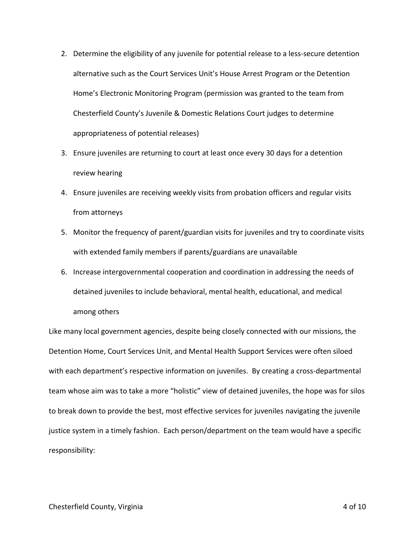- 2. Determine the eligibility of any juvenile for potential release to a less-secure detention alternative such as the Court Services Unit's House Arrest Program or the Detention Home's Electronic Monitoring Program (permission was granted to the team from Chesterfield County's Juvenile & Domestic Relations Court judges to determine appropriateness of potential releases)
- 3. Ensure juveniles are returning to court at least once every 30 days for a detention review hearing
- 4. Ensure juveniles are receiving weekly visits from probation officers and regular visits from attorneys
- 5. Monitor the frequency of parent/guardian visits for juveniles and try to coordinate visits with extended family members if parents/guardians are unavailable
- 6. Increase intergovernmental cooperation and coordination in addressing the needs of detained juveniles to include behavioral, mental health, educational, and medical among others

Like many local government agencies, despite being closely connected with our missions, the Detention Home, Court Services Unit, and Mental Health Support Services were often siloed with each department's respective information on juveniles. By creating a cross-departmental team whose aim was to take a more "holistic" view of detained juveniles, the hope was for silos to break down to provide the best, most effective services for juveniles navigating the juvenile justice system in a timely fashion. Each person/department on the team would have a specific responsibility: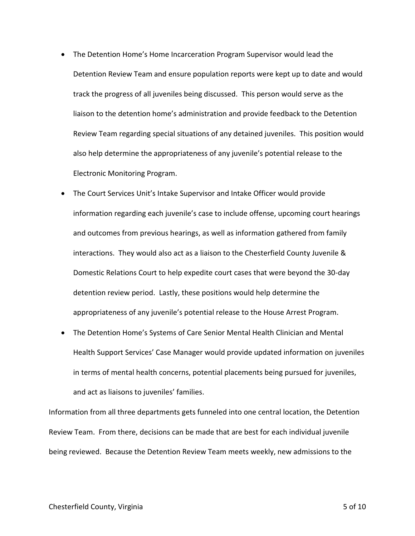- The Detention Home's Home Incarceration Program Supervisor would lead the Detention Review Team and ensure population reports were kept up to date and would track the progress of all juveniles being discussed. This person would serve as the liaison to the detention home's administration and provide feedback to the Detention Review Team regarding special situations of any detained juveniles. This position would also help determine the appropriateness of any juvenile's potential release to the Electronic Monitoring Program.
- The Court Services Unit's Intake Supervisor and Intake Officer would provide information regarding each juvenile's case to include offense, upcoming court hearings and outcomes from previous hearings, as well as information gathered from family interactions. They would also act as a liaison to the Chesterfield County Juvenile & Domestic Relations Court to help expedite court cases that were beyond the 30-day detention review period. Lastly, these positions would help determine the appropriateness of any juvenile's potential release to the House Arrest Program.
- The Detention Home's Systems of Care Senior Mental Health Clinician and Mental Health Support Services' Case Manager would provide updated information on juveniles in terms of mental health concerns, potential placements being pursued for juveniles, and act as liaisons to juveniles' families.

Information from all three departments gets funneled into one central location, the Detention Review Team. From there, decisions can be made that are best for each individual juvenile being reviewed. Because the Detention Review Team meets weekly, new admissions to the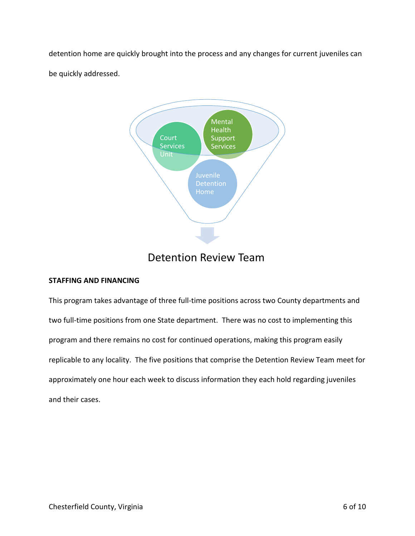detention home are quickly brought into the process and any changes for current juveniles can be quickly addressed.



## Detention Review Team

## **STAFFING AND FINANCING**

This program takes advantage of three full-time positions across two County departments and two full-time positions from one State department. There was no cost to implementing this program and there remains no cost for continued operations, making this program easily replicable to any locality. The five positions that comprise the Detention Review Team meet for approximately one hour each week to discuss information they each hold regarding juveniles and their cases.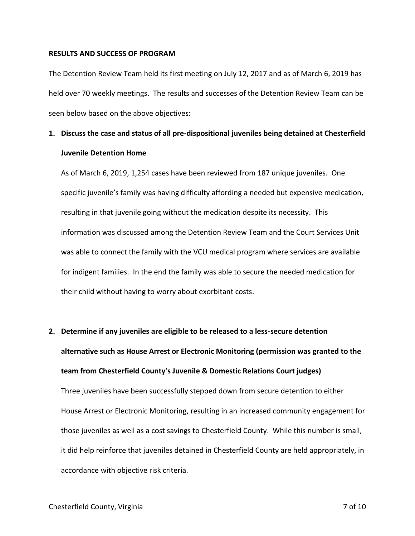#### **RESULTS AND SUCCESS OF PROGRAM**

The Detention Review Team held its first meeting on July 12, 2017 and as of March 6, 2019 has held over 70 weekly meetings. The results and successes of the Detention Review Team can be seen below based on the above objectives:

# **1. Discuss the case and status of all pre-dispositional juveniles being detained at Chesterfield Juvenile Detention Home**

As of March 6, 2019, 1,254 cases have been reviewed from 187 unique juveniles. One specific juvenile's family was having difficulty affording a needed but expensive medication, resulting in that juvenile going without the medication despite its necessity. This information was discussed among the Detention Review Team and the Court Services Unit was able to connect the family with the VCU medical program where services are available for indigent families. In the end the family was able to secure the needed medication for their child without having to worry about exorbitant costs.

# **2. Determine if any juveniles are eligible to be released to a less-secure detention alternative such as House Arrest or Electronic Monitoring (permission was granted to the team from Chesterfield County's Juvenile & Domestic Relations Court judges)** Three juveniles have been successfully stepped down from secure detention to either House Arrest or Electronic Monitoring, resulting in an increased community engagement for those juveniles as well as a cost savings to Chesterfield County. While this number is small, it did help reinforce that juveniles detained in Chesterfield County are held appropriately, in accordance with objective risk criteria.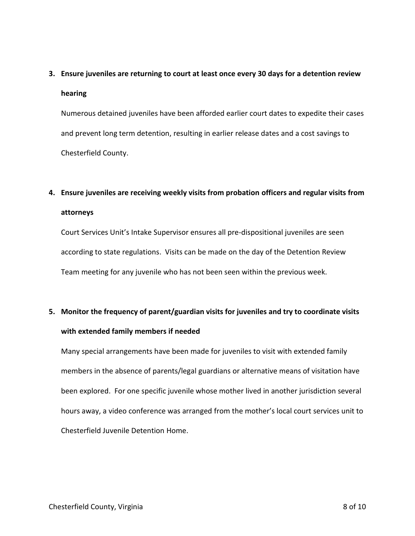## **3. Ensure juveniles are returning to court at least once every 30 days for a detention review**

### **hearing**

Numerous detained juveniles have been afforded earlier court dates to expedite their cases and prevent long term detention, resulting in earlier release dates and a cost savings to Chesterfield County.

# **4. Ensure juveniles are receiving weekly visits from probation officers and regular visits from attorneys**

Court Services Unit's Intake Supervisor ensures all pre-dispositional juveniles are seen according to state regulations. Visits can be made on the day of the Detention Review Team meeting for any juvenile who has not been seen within the previous week.

# **5. Monitor the frequency of parent/guardian visits for juveniles and try to coordinate visits with extended family members if needed**

Many special arrangements have been made for juveniles to visit with extended family members in the absence of parents/legal guardians or alternative means of visitation have been explored. For one specific juvenile whose mother lived in another jurisdiction several hours away, a video conference was arranged from the mother's local court services unit to Chesterfield Juvenile Detention Home.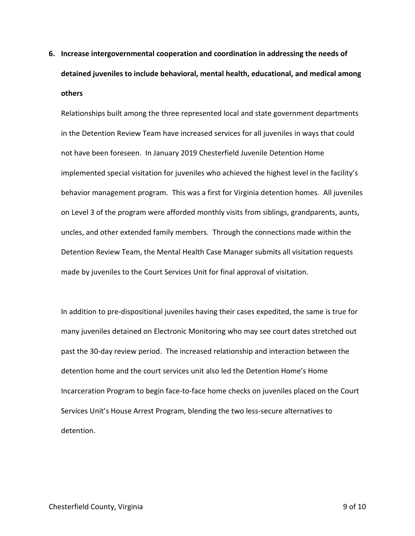**6. Increase intergovernmental cooperation and coordination in addressing the needs of detained juveniles to include behavioral, mental health, educational, and medical among others**

Relationships built among the three represented local and state government departments in the Detention Review Team have increased services for all juveniles in ways that could not have been foreseen. In January 2019 Chesterfield Juvenile Detention Home implemented special visitation for juveniles who achieved the highest level in the facility's behavior management program. This was a first for Virginia detention homes. All juveniles on Level 3 of the program were afforded monthly visits from siblings, grandparents, aunts, uncles, and other extended family members. Through the connections made within the Detention Review Team, the Mental Health Case Manager submits all visitation requests made by juveniles to the Court Services Unit for final approval of visitation.

In addition to pre-dispositional juveniles having their cases expedited, the same is true for many juveniles detained on Electronic Monitoring who may see court dates stretched out past the 30-day review period. The increased relationship and interaction between the detention home and the court services unit also led the Detention Home's Home Incarceration Program to begin face-to-face home checks on juveniles placed on the Court Services Unit's House Arrest Program, blending the two less-secure alternatives to detention.